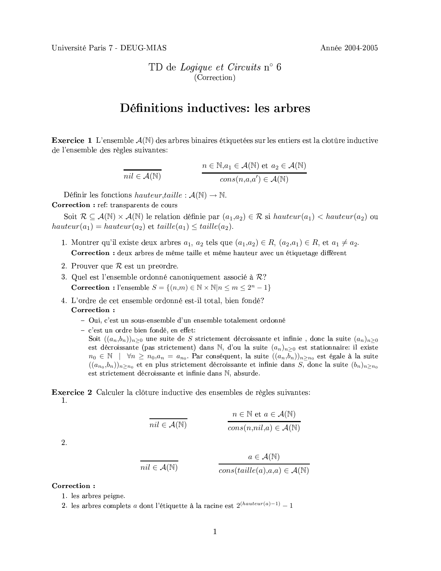TD de Logique et Circuits n° 6 (Correction)

## Définitions inductives: les arbres

**Exercice 1** L'ensemble  $\mathcal{A}(\mathbb{N})$  des arbres binaires étiquetées sur les entiers est la clotûre inductive de l'ensemble des règles suivantes:

$$
\overline{nil} \in \mathcal{A}(\mathbb{N})
$$
\n
$$
n \in \mathbb{N}, a_1 \in \mathcal{A}(\mathbb{N}) \text{ et } a_2 \in \mathcal{A}(\mathbb{N})
$$
\n
$$
cons(n, a, a') \in \mathcal{A}(\mathbb{N})
$$

Définir les fonctions hauteur, taille :  $\mathcal{A}(\mathbb{N}) \to \mathbb{N}$ .

Correction : ref: transparents de cours

L,

Soit  $\mathcal{R} \subseteq \mathcal{A}(\mathbb{N}) \times \mathcal{A}(\mathbb{N})$  le relation définie par  $(a_1,a_2) \in \mathcal{R}$  si hauteur $(a_1) <$  hauteur $(a_2)$  ou  $hauteur(a_1) = hauteur(a_2)$  et  $tail(e_{1}) \leq taille(a_2)$ .

- 1. Montrer qu'il existe deux arbres  $a_1, a_2$  tels que  $(a_1,a_2) \in R$ ,  $(a_2,a_1) \in R$ , et  $a_1 \neq a_2$ . Correction : deux arbres de même taille et même hauteur avec un étiquetage différent
- 2. Prouver que  $R$  est un preordre.
- 3. Quel est l'ensemble ordonné canoniquement associé à  $\mathcal{R}$ ? **Correction**: l'ensemble  $S = \{(n,m) \in \mathbb{N} \times \mathbb{N} | n \leq m \leq 2^n - 1\}$
- 4. L'ordre de cet ensemble ordonné est-il total, bien fondé? Correction:
	- Oui, c'est un sous-ensemble d'un ensemble totalement ordonné
	- c'est un ordre bien fondé, en effet:
		- Soit  $((a_n,b_n))_{n\geq 0}$  une suite de S strictement décroissante et infinie, donc la suite  $(a_n)_{n\geq 0}$ est décroissante (pas strictement) dans N, d'ou la suite  $(a_n)_{n>0}$  est stationnaire: il existe  $n_0 \in \mathbb{N}$  |  $\forall n \geq n_0, a_n = a_{n_0}$ . Par conséquent, la suite  $((a_n, b_n))_{n \geq n_0}$  est égale à la suite  $((a_{n_0},b_n))_{n\geq n_0}$  et en plus strictement décroissante et infinie dans S, donc la suite  $(b_n)_{n\geq n_0}$ est strictement décroissante et infinie dans N, absurde.

**Exercice 2** Calculer la clôture inductive des ensembles de règles suivantes: 1.

$$
\overline{nil} \in \mathcal{A}(\mathbb{N})
$$
\n
$$
n \in \mathbb{N} \text{ et } a \in \mathcal{A}(\mathbb{N})
$$
\n
$$
\overline{cons(n, nil, a) \in \mathcal{A}(\mathbb{N})}
$$

2.

$$
nil \in \mathcal{A}(\mathbb{N})
$$

$$
ail \in \mathcal{A}(\mathbb{N})
$$

$$
cons(taille(a), a, a) \in \mathcal{A}(\mathbb{N})
$$

Correction:

- 1. les arbres peigne.
- 2. les arbres complets a dont l'étiquette à la racine est  $2^{(hauteur(a)-1)} 1$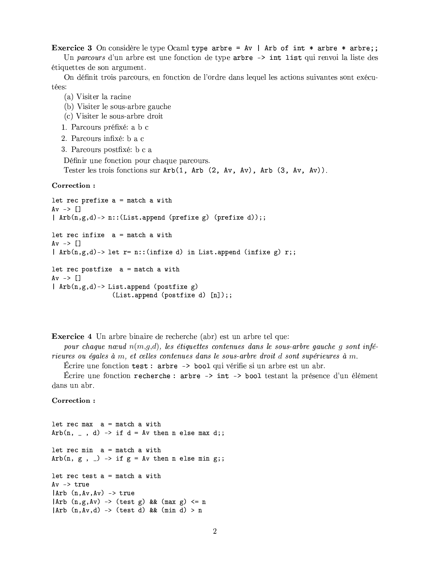**Exercice 3** On considère le type Ocaml type arbre =  $Av$  | Arb of int \* arbre \* arbre;;

Un parcours d'un arbre est une fonction de type arbre -> int list qui renvoi la liste des étiquettes de son argument.

On définit trois parcours, en fonction de l'ordre dans lequel les actions suivantes sont exécutées:

- (a) Visiter la racine
- (b) Visiter le sous-arbre gauche
- (c) Visiter le sous-arbre droit
- 1. Parcours préfixé: a b c
- 2. Parcours infixé: b a c
- 3. Parcours postfixé: b c a

Définir une fonction pour chaque parcours. Tester les trois fonctions sur  $Arb(1, Arb(2, Av, Av), Arb(3, Av, Av)).$ 

## Correction:

```
let rec prefixe a = match a with
Av \rightarrow \Box| Arb(n,g,d)-> n:: (List.append (prefixe g) (prefixe d));;
let rec infixe a = match a with
Av \rightarrow []| Arb(n,g,d) -> let r= n:: (infixe d) in List.append (infixe g) r;;
let rec postfixe a = match a with
Av \rightarrow []| Arb(n,g,d)-> List.append (postfixe g)
                 (List.append (postfixe d) [n]);;
```
**Exercice 4** Un arbre binaire de recherche (abr) est un arbre tel que:

pour chaque noved  $n(m,q,d)$ , les étiquettes contenues dans le sous-arbre qauche q sont inférieures ou égales à  $m$ , et celles contenues dans le sous-arbre droit d'sont supérieures à  $m$ .

Écrire une fonction test : arbre -> bool qui vérifie si un arbre est un abr.

Écrire une fonction recherche : arbre -> int -> bool testant la présence d'un élément dans un abr.

## Correction:

```
let rec max a = match a with
Arb(n, 1, d) -> if d = Av then n else max d;;
let rec min a = match a with
Arb(n, g, _) -> if g = Av then n else min g;;
let rec test a = match a withAv \rightarrow true|Arb (n, Av, Av) -> true
|Arb (n, g, Av) -> (test g) && (max g) <= n
|Arb (n, Av, d) -> (test d) && (min d) > n
```